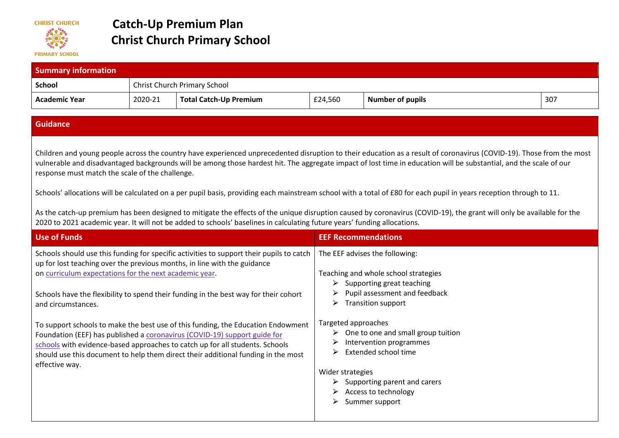

## **Catch-Up Premium Plan Christ Church Primary School**

| <b>Summary information</b> |                                     |                               |         |                                                                                                                                                                      |     |  |
|----------------------------|-------------------------------------|-------------------------------|---------|----------------------------------------------------------------------------------------------------------------------------------------------------------------------|-----|--|
| <b>School</b>              | <b>Christ Church Primary School</b> |                               |         |                                                                                                                                                                      |     |  |
| <b>Academic Year</b>       | 2020-21                             | <b>Total Catch-Up Premium</b> | £24,560 | <b>Number of pupils</b>                                                                                                                                              | 307 |  |
| <b>Guidance</b>            |                                     |                               |         |                                                                                                                                                                      |     |  |
|                            |                                     |                               |         | Children and voung people across the country have experienced unprecedented disruption to their education as a result of coronavirus (COVID-19). Those from the most |     |  |

Children and young people across the country have experienced unprecedented disruption to their education as a result of coronavirus (COVID-19). Those from the most vulnerable and disadvantaged backgrounds will be among those hardest hit. The aggregate impact of lost time in education will be substantial, and the scale of our response must match the scale of the challenge.

Schools' allocations will be calculated on a per pupil basis, providing each mainstream school with a total of £80 for each pupil in years reception through to 11.

As the catch-up premium has been designed to mitigate the effects of the unique disruption caused by coronavirus (COVID-19), the grant will only be available for the 2020 to 2021 academic year. It will not be added to schools' baselines in calculating future years' funding allocations.

| Use of Funds                                                                                                                                                                                                                                                                                                                                         | <b>EEF Recommendations</b>                                                                                                                                                                                                                   |
|------------------------------------------------------------------------------------------------------------------------------------------------------------------------------------------------------------------------------------------------------------------------------------------------------------------------------------------------------|----------------------------------------------------------------------------------------------------------------------------------------------------------------------------------------------------------------------------------------------|
| Schools should use this funding for specific activities to support their pupils to catch<br>up for lost teaching over the previous months, in line with the guidance<br>on curriculum expectations for the next academic year.                                                                                                                       | The EEF advises the following:<br>Teaching and whole school strategies<br>$\triangleright$ Supporting great teaching                                                                                                                         |
| Schools have the flexibility to spend their funding in the best way for their cohort<br>and circumstances.                                                                                                                                                                                                                                           | $\triangleright$ Pupil assessment and feedback<br><b>Transition support</b><br>➤                                                                                                                                                             |
| To support schools to make the best use of this funding, the Education Endowment<br>Foundation (EEF) has published a coronavirus (COVID-19) support guide for<br>schools with evidence-based approaches to catch up for all students. Schools<br>should use this document to help them direct their additional funding in the most<br>effective way. | Targeted approaches<br>$\triangleright$ One to one and small group tuition<br>Intervention programmes<br>Extended school time<br>Wider strategies<br>$\triangleright$ Supporting parent and carers<br>Access to technology<br>Summer support |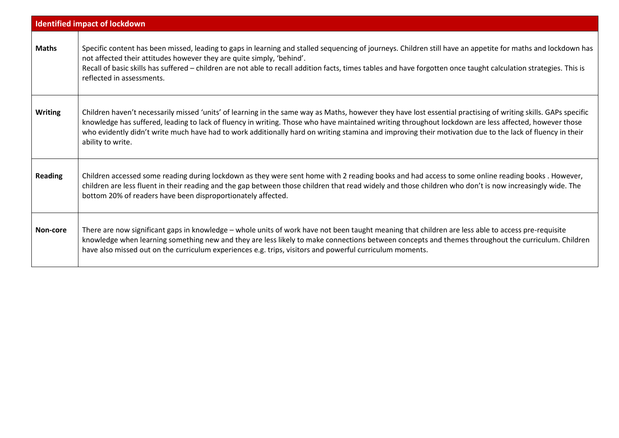| <b>Identified impact of lockdown</b> |                                                                                                                                                                                                                                                                                                                                                                                                                                                                                                          |  |  |  |
|--------------------------------------|----------------------------------------------------------------------------------------------------------------------------------------------------------------------------------------------------------------------------------------------------------------------------------------------------------------------------------------------------------------------------------------------------------------------------------------------------------------------------------------------------------|--|--|--|
| <b>Maths</b>                         | Specific content has been missed, leading to gaps in learning and stalled sequencing of journeys. Children still have an appetite for maths and lockdown has<br>not affected their attitudes however they are quite simply, 'behind'.<br>Recall of basic skills has suffered - children are not able to recall addition facts, times tables and have forgotten once taught calculation strategies. This is<br>reflected in assessments.                                                                  |  |  |  |
| <b>Writing</b>                       | Children haven't necessarily missed 'units' of learning in the same way as Maths, however they have lost essential practising of writing skills. GAPs specific<br>knowledge has suffered, leading to lack of fluency in writing. Those who have maintained writing throughout lockdown are less affected, however those<br>who evidently didn't write much have had to work additionally hard on writing stamina and improving their motivation due to the lack of fluency in their<br>ability to write. |  |  |  |
| <b>Reading</b>                       | Children accessed some reading during lockdown as they were sent home with 2 reading books and had access to some online reading books. However,<br>children are less fluent in their reading and the gap between those children that read widely and those children who don't is now increasingly wide. The<br>bottom 20% of readers have been disproportionately affected.                                                                                                                             |  |  |  |
| Non-core                             | There are now significant gaps in knowledge - whole units of work have not been taught meaning that children are less able to access pre-requisite<br>knowledge when learning something new and they are less likely to make connections between concepts and themes throughout the curriculum. Children<br>have also missed out on the curriculum experiences e.g. trips, visitors and powerful curriculum moments.                                                                                     |  |  |  |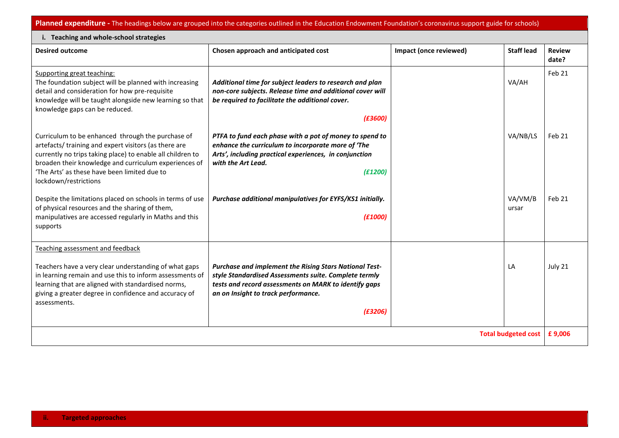**Planned expenditure -** The headings below are grouped into the categories outlined in the Education Endowment Foundation's coronavirus support guide for schools)

| i. Teaching and whole-school strategies                                                                                                                                                                                                                                                                   |                                                                                                                                                                                                                                   |                        |                   |                        |  |  |  |
|-----------------------------------------------------------------------------------------------------------------------------------------------------------------------------------------------------------------------------------------------------------------------------------------------------------|-----------------------------------------------------------------------------------------------------------------------------------------------------------------------------------------------------------------------------------|------------------------|-------------------|------------------------|--|--|--|
| <b>Desired outcome</b>                                                                                                                                                                                                                                                                                    | Chosen approach and anticipated cost                                                                                                                                                                                              | Impact (once reviewed) | <b>Staff lead</b> | <b>Review</b><br>date? |  |  |  |
| Supporting great teaching:<br>The foundation subject will be planned with increasing<br>detail and consideration for how pre-requisite<br>knowledge will be taught alongside new learning so that<br>knowledge gaps can be reduced.                                                                       | Additional time for subject leaders to research and plan<br>non-core subjects. Release time and additional cover will<br>be required to facilitate the additional cover.<br>(E3600)                                               |                        | VA/AH             | Feb 21                 |  |  |  |
| Curriculum to be enhanced through the purchase of<br>artefacts/training and expert visitors (as there are<br>currently no trips taking place) to enable all children to<br>broaden their knowledge and curriculum experiences of<br>'The Arts' as these have been limited due to<br>lockdown/restrictions | PTFA to fund each phase with a pot of money to spend to<br>enhance the curriculum to incorporate more of 'The<br>Arts', including practical experiences, in conjunction<br>with the Art Lead.<br>(E1200)                          |                        | VA/NB/LS          | Feb 21                 |  |  |  |
| Despite the limitations placed on schools in terms of use<br>of physical resources and the sharing of them,<br>manipulatives are accessed regularly in Maths and this<br>supports                                                                                                                         | Purchase additional manipulatives for EYFS/KS1 initially.<br>(E1000)                                                                                                                                                              |                        | VA/VM/B<br>ursar  | Feb 21                 |  |  |  |
| Teaching assessment and feedback<br>Teachers have a very clear understanding of what gaps<br>in learning remain and use this to inform assessments of<br>learning that are aligned with standardised norms,<br>giving a greater degree in confidence and accuracy of<br>assessments.                      | <b>Purchase and implement the Rising Stars National Test-</b><br>style Standardised Assessments suite. Complete termly<br>tests and record assessments on MARK to identify gaps<br>an on Insight to track performance.<br>(E3206) |                        | LA                | July 21                |  |  |  |
| <b>Total budgeted cost</b>                                                                                                                                                                                                                                                                                |                                                                                                                                                                                                                                   |                        |                   | £9,006                 |  |  |  |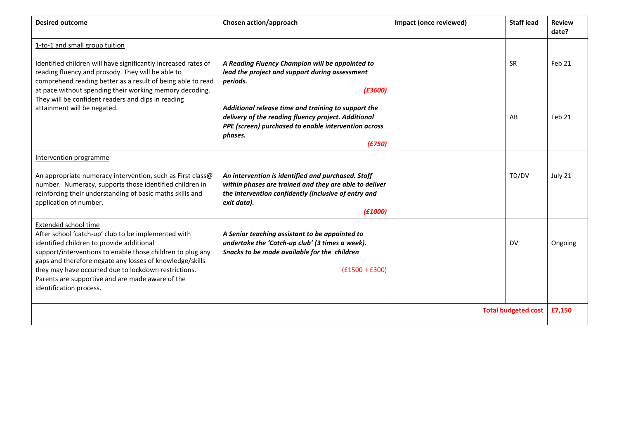| <b>Desired outcome</b>                                                                                                                                                                                                                                                                                                                                                                    | Chosen action/approach                                                                                                                                                                                                                                                                                              | Impact (once reviewed) | <b>Staff lead</b> | <b>Review</b><br>date? |
|-------------------------------------------------------------------------------------------------------------------------------------------------------------------------------------------------------------------------------------------------------------------------------------------------------------------------------------------------------------------------------------------|---------------------------------------------------------------------------------------------------------------------------------------------------------------------------------------------------------------------------------------------------------------------------------------------------------------------|------------------------|-------------------|------------------------|
| 1-to-1 and small group tuition<br>Identified children will have significantly increased rates of<br>reading fluency and prosody. They will be able to<br>comprehend reading better as a result of being able to read<br>at pace without spending their working memory decoding.<br>They will be confident readers and dips in reading<br>attainment will be negated.                      | A Reading Fluency Champion will be appointed to<br>lead the project and support during assessment<br>periods.<br>(E3600)<br>Additional release time and training to support the<br>delivery of the reading fluency project. Additional<br>PPE (screen) purchased to enable intervention across<br>phases.<br>(E750) |                        | <b>SR</b><br>AB   | Feb 21<br>Feb 21       |
| Intervention programme<br>An appropriate numeracy intervention, such as First class@<br>number. Numeracy, supports those identified children in<br>reinforcing their understanding of basic maths skills and<br>application of number.                                                                                                                                                    | An intervention is identified and purchased. Staff<br>within phases are trained and they are able to deliver<br>the intervention confidently (inclusive of entry and<br>exit data).<br>(E1000)                                                                                                                      |                        | TD/DV             | July 21                |
| Extended school time<br>After school 'catch-up' club to be implemented with<br>identified children to provide additional<br>support/interventions to enable those children to plug any<br>gaps and therefore negate any losses of knowledge/skills<br>they may have occurred due to lockdown restrictions.<br>Parents are supportive and are made aware of the<br>identification process. | A Senior teaching assistant to be appointed to<br>undertake the 'Catch-up club' (3 times a week).<br>Snacks to be made available for the children<br>$(f1500 + f300)$                                                                                                                                               |                        | <b>DV</b>         | Ongoing                |
| <b>Total budgeted cost</b>                                                                                                                                                                                                                                                                                                                                                                |                                                                                                                                                                                                                                                                                                                     |                        |                   | £7,150                 |